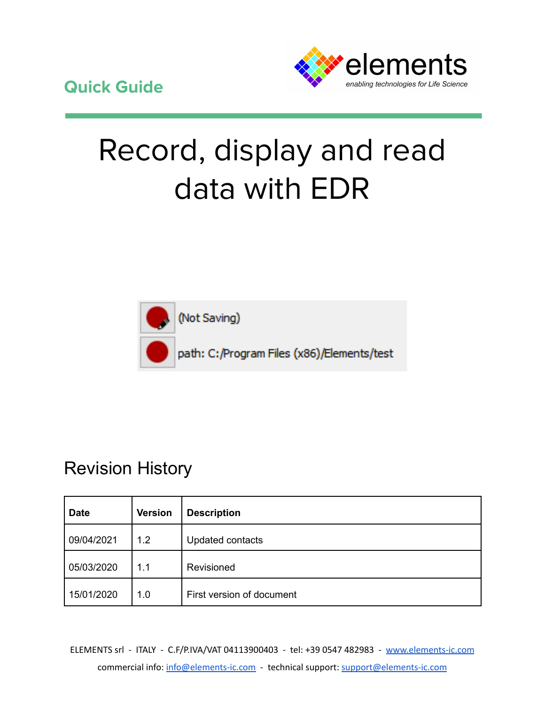

# Record, display and read data with EDR



## Revision History

| <b>Date</b> | <b>Version</b> | <b>Description</b>        |
|-------------|----------------|---------------------------|
| 09/04/2021  | 1.2            | Updated contacts          |
| 05/03/2020  | 1.1            | Revisioned                |
| 15/01/2020  | 1.0            | First version of document |

ELEMENTS srl - ITALY - C.F/P.IVA/VAT 04113900403 - tel: +39 0547 482983 - [www.elements-ic.com](http://www.elements-ic.com) commercial info: [info@elements-ic.com](mailto:info@elements-ic.com) - technical support: [support@elements-ic.com](mailto:support@elements-ic.com)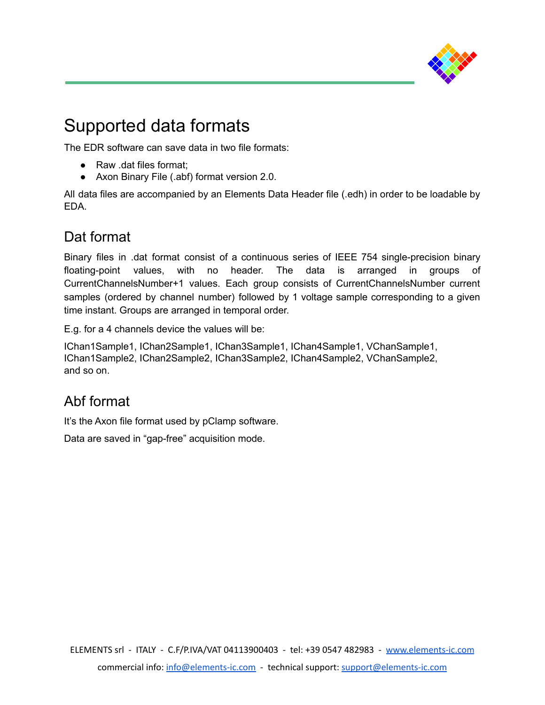

## Supported data formats

The EDR software can save data in two file formats:

- Raw .dat files format:
- Axon Binary File (.abf) format version 2.0.

All data files are accompanied by an Elements Data Header file (.edh) in order to be loadable by EDA.

#### Dat format

Binary files in .dat format consist of a continuous series of IEEE 754 single-precision binary floating-point values, with no header. The data is arranged in groups of CurrentChannelsNumber+1 values. Each group consists of CurrentChannelsNumber current samples (ordered by channel number) followed by 1 voltage sample corresponding to a given time instant. Groups are arranged in temporal order.

E.g. for a 4 channels device the values will be:

IChan1Sample1, IChan2Sample1, IChan3Sample1, IChan4Sample1, VChanSample1, IChan1Sample2, IChan2Sample2, IChan3Sample2, IChan4Sample2, VChanSample2, and so on.

#### Abf format

It's the Axon file format used by pClamp software.

Data are saved in "gap-free" acquisition mode.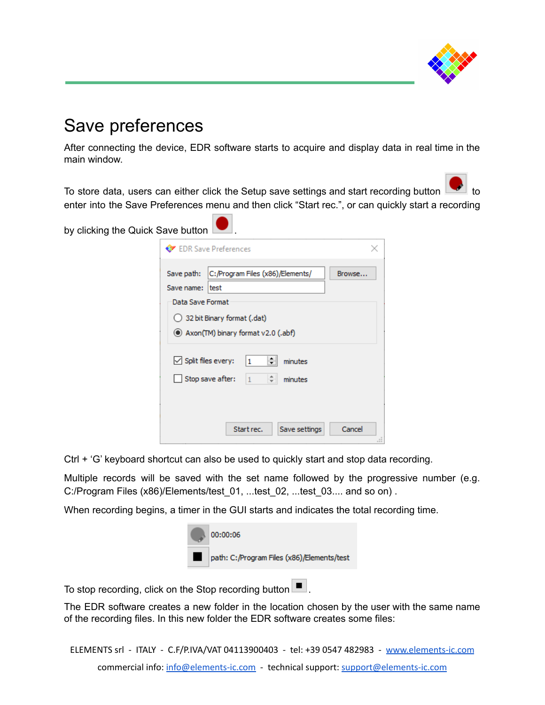

## Save preferences

After connecting the device, EDR software starts to acquire and display data in real time in the main window.

To store data, users can either click the Setup save settings and start recording button enter into the Save Preferences menu and then click "Start rec.", or can quickly start a recording

by clicking the Quick Save button .

|                              | <b>◆</b> EDR Save Preferences                     |  |
|------------------------------|---------------------------------------------------|--|
|                              |                                                   |  |
| Save path:                   | C:/Program Files (x86)/Elements/<br>Browse        |  |
| Save name:                   | test                                              |  |
| Data Save Format             |                                                   |  |
|                              | (32 bit Binary format (.dat)                      |  |
|                              | (abf) Axon(TM) binary format v2.0 (.abf)          |  |
|                              |                                                   |  |
| $\sqrt{}$ Split files every: | ≑∥<br>1<br>minutes                                |  |
|                              |                                                   |  |
|                              | ÷۱<br>Stop save after:<br>$\mathbf{1}$<br>minutes |  |
|                              |                                                   |  |
|                              |                                                   |  |
|                              |                                                   |  |
|                              | Start rec.<br>Cancel<br>Save settings             |  |
|                              |                                                   |  |

Ctrl + 'G' keyboard shortcut can also be used to quickly start and stop data recording.

Multiple records will be saved with the set name followed by the progressive number (e.g. C:/Program Files (x86)/Elements/test\_01, ...test\_02, ...test\_03.... and so on) .

When recording begins, a timer in the GUI starts and indicates the total recording time.



To stop recording, click on the Stop recording button

The EDR software creates a new folder in the location chosen by the user with the same name of the recording files. In this new folder the EDR software creates some files:

ELEMENTS srl - ITALY - C.F/P.IVA/VAT 04113900403 - tel: +39 0547 482983 - [www.elements-ic.com](http://www.elements-ic.com) commercial info: [info@elements-ic.com](mailto:info@elements-ic.com) - technical support: [support@elements-ic.com](mailto:support@elements-ic.com)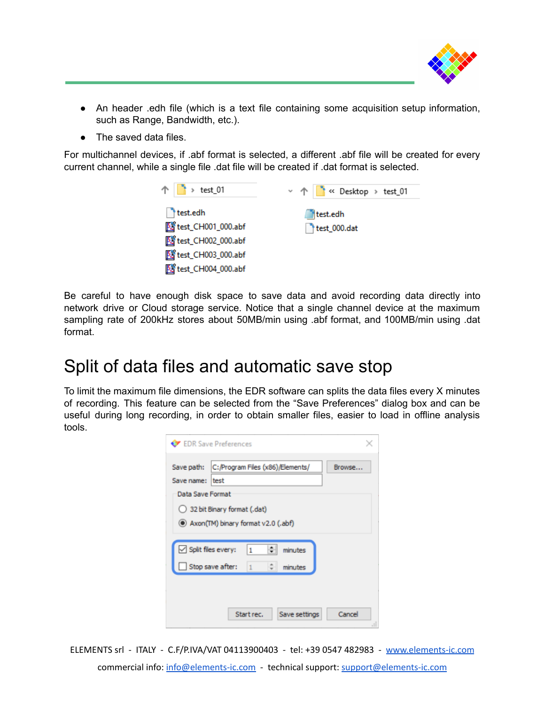

- An header .edh file (which is a text file containing some acquisition setup information, such as Range, Bandwidth, etc.).
- The saved data files.

For multichannel devices, if .abf format is selected, a different .abf file will be created for every current channel, while a single file .dat file will be created if .dat format is selected.



Be careful to have enough disk space to save data and avoid recording data directly into network drive or Cloud storage service. Notice that a single channel device at the maximum sampling rate of 200kHz stores about 50MB/min using .abf format, and 100MB/min using .dat format.

## Split of data files and automatic save stop

To limit the maximum file dimensions, the EDR software can splits the data files every X minutes of recording. This feature can be selected from the "Save Preferences" dialog box and can be useful during long recording, in order to obtain smaller files, easier to load in offline analysis tools.

| Save path:                | <b>C</b> <sup>P</sup> EDR Save Preferences<br>C:/Program Files (x86)/Elements/ | Browse |
|---------------------------|--------------------------------------------------------------------------------|--------|
| Save name:                | test                                                                           |        |
| Data Save Format          |                                                                                |        |
|                           | 32 bit Binary format (.dat)                                                    |        |
|                           | (abf) Axon(TM) binary format v2.0 (.abf)                                       |        |
|                           |                                                                                |        |
|                           |                                                                                |        |
| $\vee$ Split files every: | ٠<br>1<br>minutes                                                              |        |
|                           |                                                                                |        |
|                           | Stop save after:<br>÷<br>minutes<br>1                                          |        |
|                           |                                                                                |        |
|                           |                                                                                |        |

ELEMENTS srl - ITALY - C.F/P.IVA/VAT 04113900403 - tel: +39 0547 482983 - [www.elements-ic.com](http://www.elements-ic.com)

commercial info: [info@elements-ic.com](mailto:info@elements-ic.com) - technical support: [support@elements-ic.com](mailto:support@elements-ic.com)